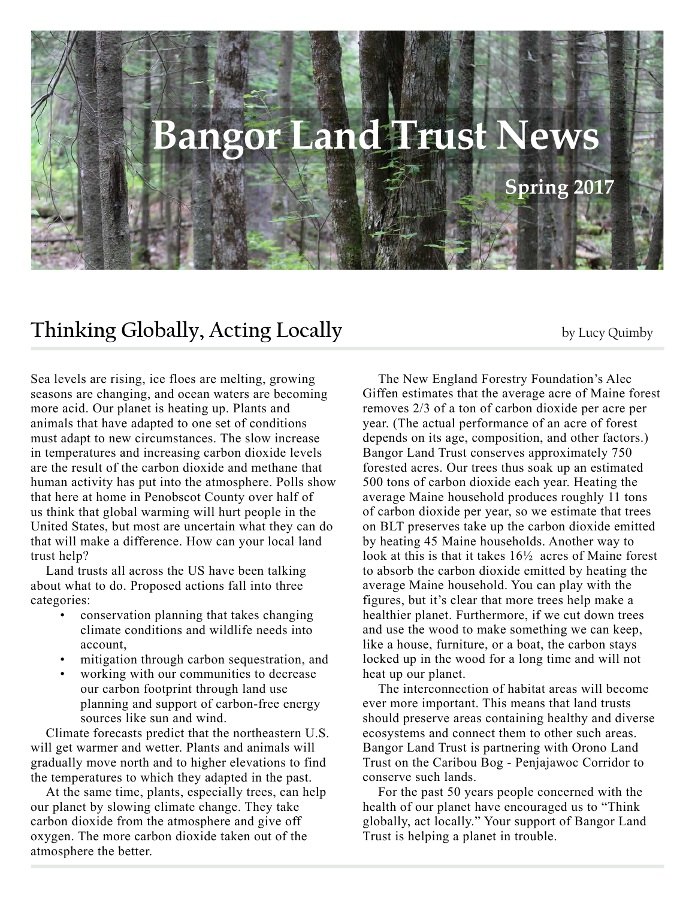

## **Thinking Globally, Acting Locally** by Lucy Quimby

Sea levels are rising, ice floes are melting, growing seasons are changing, and ocean waters are becoming more acid. Our planet is heating up. Plants and animals that have adapted to one set of conditions must adapt to new circumstances. The slow increase in temperatures and increasing carbon dioxide levels are the result of the carbon dioxide and methane that human activity has put into the atmosphere. Polls show that here at home in Penobscot County over half of us think that global warming will hurt people in the United States, but most are uncertain what they can do that will make a difference. How can your local land trust help?

Land trusts all across the US have been talking about what to do. Proposed actions fall into three categories:

- conservation planning that takes changing climate conditions and wildlife needs into account,
- mitigation through carbon sequestration, and
- working with our communities to decrease our carbon footprint through land use planning and support of carbon-free energy sources like sun and wind.

Climate forecasts predict that the northeastern U.S. will get warmer and wetter. Plants and animals will gradually move north and to higher elevations to find the temperatures to which they adapted in the past.

At the same time, plants, especially trees, can help our planet by slowing climate change. They take carbon dioxide from the atmosphere and give off oxygen. The more carbon dioxide taken out of the atmosphere the better.

The New England Forestry Foundation's Alec Giffen estimates that the average acre of Maine forest removes 2/3 of a ton of carbon dioxide per acre per year. (The actual performance of an acre of forest depends on its age, composition, and other factors.) Bangor Land Trust conserves approximately 750 forested acres. Our trees thus soak up an estimated 500 tons of carbon dioxide each year. Heating the average Maine household produces roughly 11 tons of carbon dioxide per year, so we estimate that trees on BLT preserves take up the carbon dioxide emitted by heating 45 Maine households. Another way to look at this is that it takes 16½ acres of Maine forest to absorb the carbon dioxide emitted by heating the average Maine household. You can play with the figures, but it's clear that more trees help make a healthier planet. Furthermore, if we cut down trees and use the wood to make something we can keep, like a house, furniture, or a boat, the carbon stays locked up in the wood for a long time and will not heat up our planet.

The interconnection of habitat areas will become ever more important. This means that land trusts should preserve areas containing healthy and diverse ecosystems and connect them to other such areas. Bangor Land Trust is partnering with Orono Land Trust on the Caribou Bog - Penjajawoc Corridor to conserve such lands.

For the past 50 years people concerned with the health of our planet have encouraged us to "Think globally, act locally." Your support of Bangor Land Trust is helping a planet in trouble.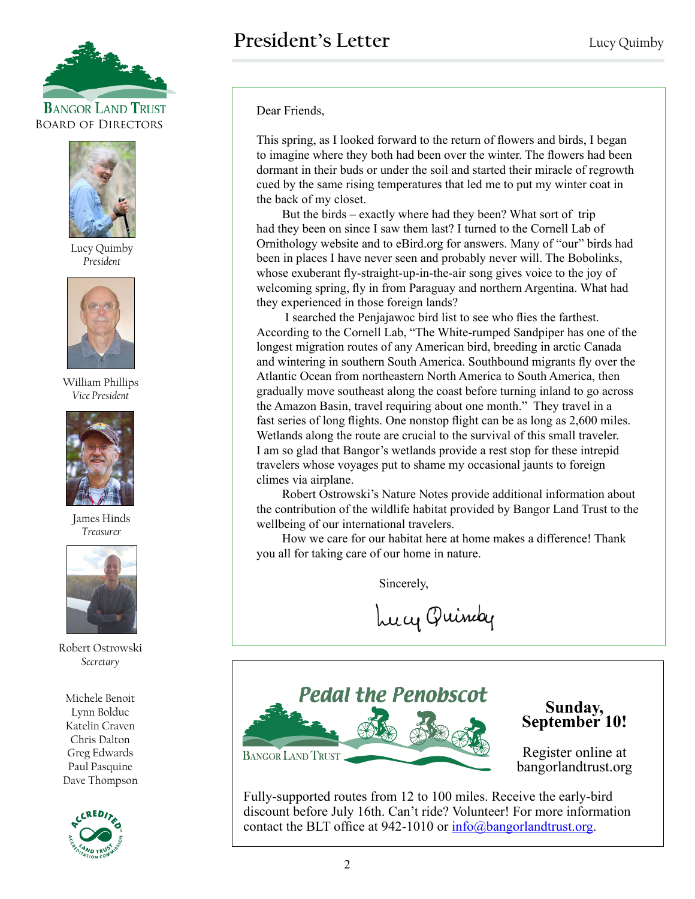



Lucy Quimby *President*



William Phillips *Vice President*



James Hinds *Treasurer*



Robert Ostrowski *Secretary*

Michele Benoit Lynn Bolduc Katelin Craven Chris Dalton Greg Edwards Paul Pasquine Dave Thompson



Dear Friends,

This spring, as I looked forward to the return of flowers and birds, I began to imagine where they both had been over the winter. The flowers had been dormant in their buds or under the soil and started their miracle of regrowth cued by the same rising temperatures that led me to put my winter coat in the back of my closet.

But the birds – exactly where had they been? What sort of trip had they been on since I saw them last? I turned to the Cornell Lab of Ornithology website and to eBird.org for answers. Many of "our" birds had been in places I have never seen and probably never will. The Bobolinks, whose exuberant fly-straight-up-in-the-air song gives voice to the joy of welcoming spring, fly in from Paraguay and northern Argentina. What had they experienced in those foreign lands?

 I searched the Penjajawoc bird list to see who flies the farthest. According to the Cornell Lab, "The White-rumped Sandpiper has one of the longest migration routes of any American bird, breeding in arctic Canada and wintering in southern South America. Southbound migrants fly over the Atlantic Ocean from northeastern North America to South America, then gradually move southeast along the coast before turning inland to go across the Amazon Basin, travel requiring about one month." They travel in a fast series of long flights. One nonstop flight can be as long as 2,600 miles. Wetlands along the route are crucial to the survival of this small traveler. I am so glad that Bangor's wetlands provide a rest stop for these intrepid travelers whose voyages put to shame my occasional jaunts to foreign climes via airplane.

Robert Ostrowski's Nature Notes provide additional information about the contribution of the wildlife habitat provided by Bangor Land Trust to the wellbeing of our international travelers.

How we care for our habitat here at home makes a difference! Thank you all for taking care of our home in nature.

Sincerely,

Lucy Quindy



Register online at bangorlandtrust.org

Fully-supported routes from 12 to 100 miles. Receive the early-bird discount before July 16th. Can't ride? Volunteer! For more information contact the BLT office at 942-1010 or  $info@bangorlandtrust.org$ .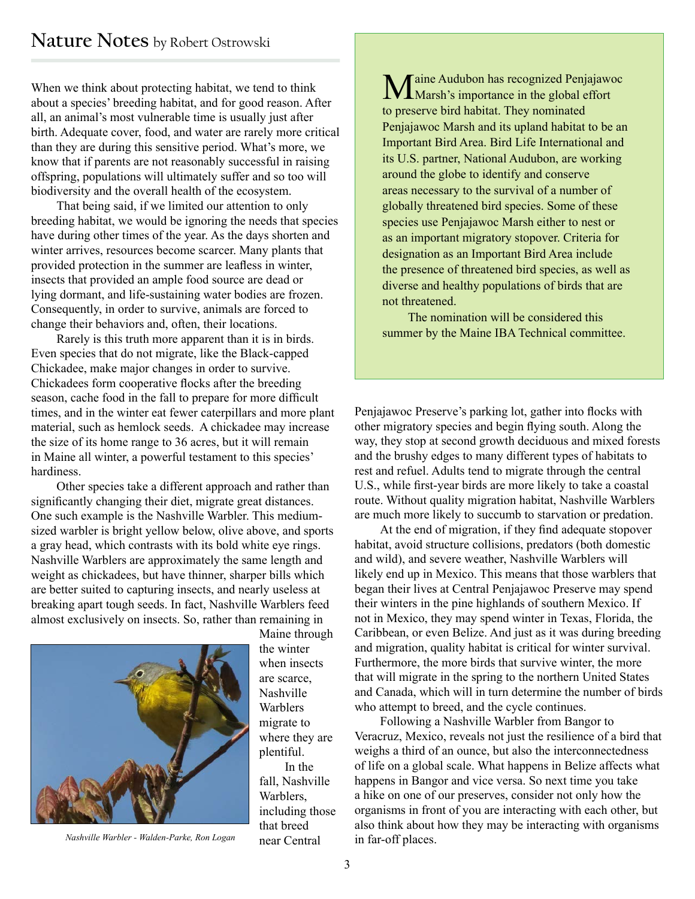When we think about protecting habitat, we tend to think about a species' breeding habitat, and for good reason. After all, an animal's most vulnerable time is usually just after birth. Adequate cover, food, and water are rarely more critical than they are during this sensitive period. What's more, we know that if parents are not reasonably successful in raising offspring, populations will ultimately suffer and so too will biodiversity and the overall health of the ecosystem.

That being said, if we limited our attention to only breeding habitat, we would be ignoring the needs that species have during other times of the year. As the days shorten and winter arrives, resources become scarcer. Many plants that provided protection in the summer are leafless in winter, insects that provided an ample food source are dead or lying dormant, and life-sustaining water bodies are frozen. Consequently, in order to survive, animals are forced to change their behaviors and, often, their locations.

Rarely is this truth more apparent than it is in birds. Even species that do not migrate, like the Black-capped Chickadee, make major changes in order to survive. Chickadees form cooperative flocks after the breeding season, cache food in the fall to prepare for more difficult times, and in the winter eat fewer caterpillars and more plant material, such as hemlock seeds. A chickadee may increase the size of its home range to 36 acres, but it will remain in Maine all winter, a powerful testament to this species' hardiness.

Other species take a different approach and rather than significantly changing their diet, migrate great distances. One such example is the Nashville Warbler. This mediumsized warbler is bright yellow below, olive above, and sports a gray head, which contrasts with its bold white eye rings. Nashville Warblers are approximately the same length and weight as chickadees, but have thinner, sharper bills which are better suited to capturing insects, and nearly useless at breaking apart tough seeds. In fact, Nashville Warblers feed almost exclusively on insects. So, rather than remaining in



near Central *Nashville Warbler - Walden-Parke, Ron Logan*

Maine through the winter when insects are scarce, Nashville Warblers migrate to where they are plentiful. In the fall, Nashville Warblers, including those that breed

Maine Audubon has recognized Penjajawoc<br>Marsh's importance in the global effort to preserve bird habitat. They nominated Penjajawoc Marsh and its upland habitat to be an Important Bird Area. Bird Life International and its U.S. partner, National Audubon, are working around the globe to identify and conserve areas necessary to the survival of a number of globally threatened bird species. Some of these species use Penjajawoc Marsh either to nest or as an important migratory stopover. Criteria for designation as an Important Bird Area include the presence of threatened bird species, as well as diverse and healthy populations of birds that are not threatened.

The nomination will be considered this summer by the Maine IBA Technical committee.

Penjajawoc Preserve's parking lot, gather into flocks with other migratory species and begin flying south. Along the way, they stop at second growth deciduous and mixed forests and the brushy edges to many different types of habitats to rest and refuel. Adults tend to migrate through the central U.S., while first-year birds are more likely to take a coastal route. Without quality migration habitat, Nashville Warblers are much more likely to succumb to starvation or predation.

At the end of migration, if they find adequate stopover habitat, avoid structure collisions, predators (both domestic and wild), and severe weather, Nashville Warblers will likely end up in Mexico. This means that those warblers that began their lives at Central Penjajawoc Preserve may spend their winters in the pine highlands of southern Mexico. If not in Mexico, they may spend winter in Texas, Florida, the Caribbean, or even Belize. And just as it was during breeding and migration, quality habitat is critical for winter survival. Furthermore, the more birds that survive winter, the more that will migrate in the spring to the northern United States and Canada, which will in turn determine the number of birds who attempt to breed, and the cycle continues.

Following a Nashville Warbler from Bangor to Veracruz, Mexico, reveals not just the resilience of a bird that weighs a third of an ounce, but also the interconnectedness of life on a global scale. What happens in Belize affects what happens in Bangor and vice versa. So next time you take a hike on one of our preserves, consider not only how the organisms in front of you are interacting with each other, but also think about how they may be interacting with organisms in far-off places.